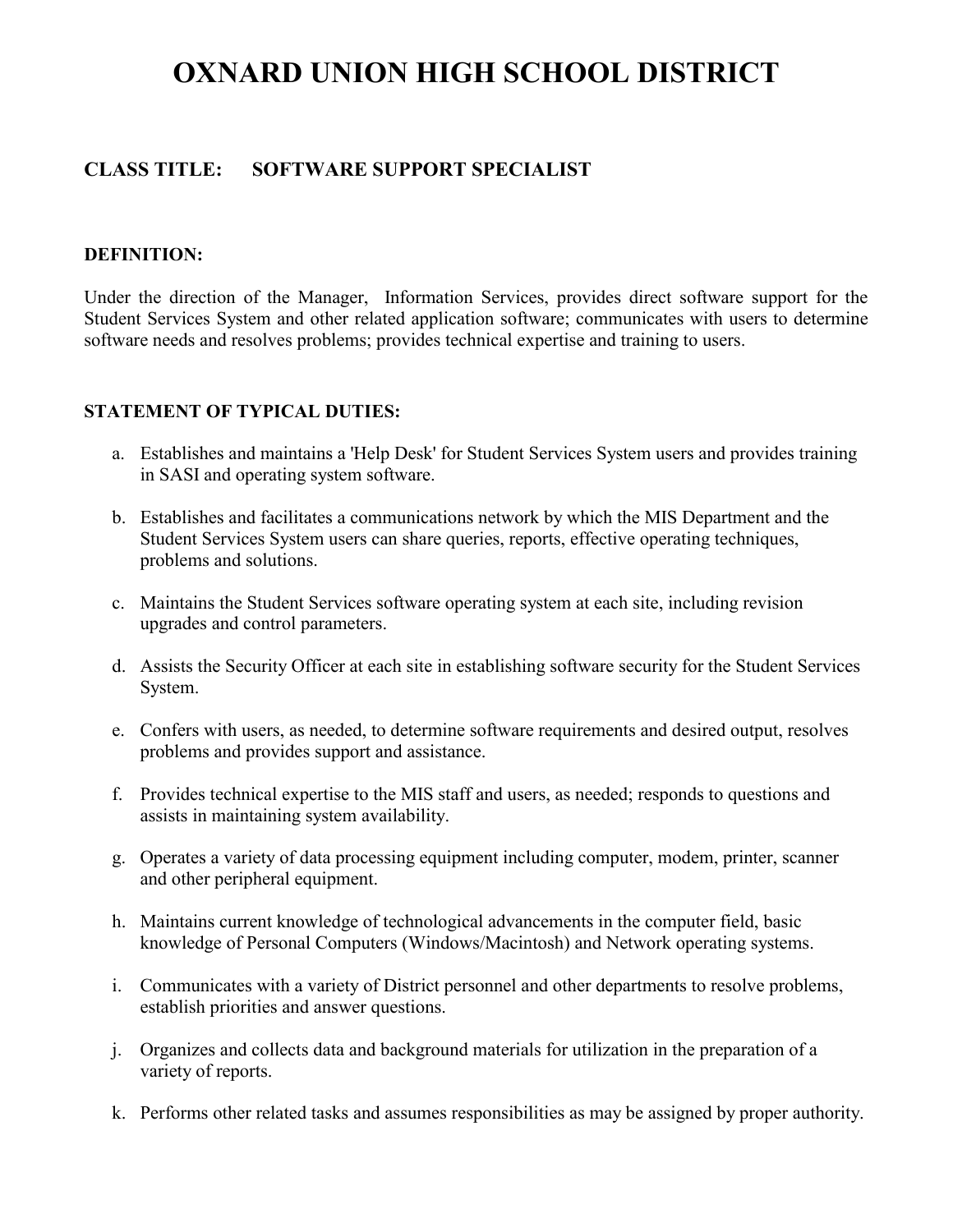# **OXNARD UNION HIGH SCHOOL DISTRICT**

# **CLASS TITLE: SOFTWARE SUPPORT SPECIALIST**

#### **DEFINITION:**

Under the direction of the Manager, Information Services, provides direct software support for the Student Services System and other related application software; communicates with users to determine software needs and resolves problems; provides technical expertise and training to users.

#### **STATEMENT OF TYPICAL DUTIES:**

- a. Establishes and maintains a 'Help Desk' for Student Services System users and provides training in SASI and operating system software.
- b. Establishes and facilitates a communications network by which the MIS Department and the Student Services System users can share queries, reports, effective operating techniques, problems and solutions.
- c. Maintains the Student Services software operating system at each site, including revision upgrades and control parameters.
- d. Assists the Security Officer at each site in establishing software security for the Student Services System.
- e. Confers with users, as needed, to determine software requirements and desired output, resolves problems and provides support and assistance.
- f. Provides technical expertise to the MIS staff and users, as needed; responds to questions and assists in maintaining system availability.
- g. Operates a variety of data processing equipment including computer, modem, printer, scanner and other peripheral equipment.
- h. Maintains current knowledge of technological advancements in the computer field, basic knowledge of Personal Computers (Windows/Macintosh) and Network operating systems.
- i. Communicates with a variety of District personnel and other departments to resolve problems, establish priorities and answer questions.
- j. Organizes and collects data and background materials for utilization in the preparation of a variety of reports.
- k. Performs other related tasks and assumes responsibilities as may be assigned by proper authority.